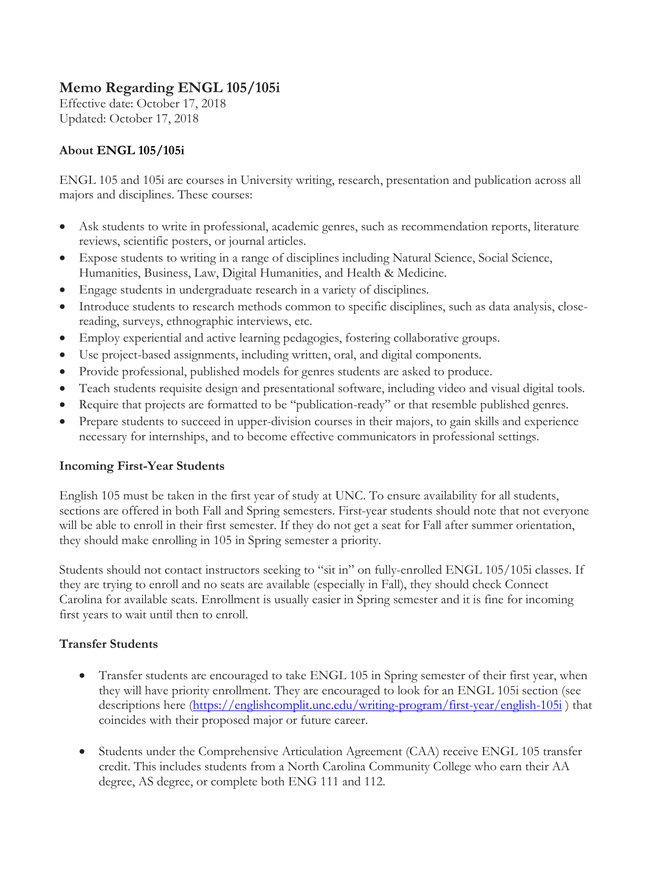## **Memo Regarding ENGL 105/105i**

Effective date: October 17, 2018 Updated: October 17, 2018

## **About ENGL 105/105i**

ENGL 105 and 105i are courses in University writing, research, presentation and publication across all majors and disciplines. These courses:

- Ask students to write in professional, academic genres, such as recommendation reports, literature reviews, scientific posters, or journal articles.
- Expose students to writing in a range of disciplines including Natural Science, Social Science, Humanities, Business, Law, Digital Humanities, and Health & Medicine.
- Engage students in undergraduate research in a variety of disciplines.
- Introduce students to research methods common to specific disciplines, such as data analysis, closereading, surveys, ethnographic interviews, etc.
- Employ experiential and active learning pedagogies, fostering collaborative groups.
- Use project-based assignments, including written, oral, and digital components.
- Provide professional, published models for genres students are asked to produce.
- Teach students requisite design and presentational software, including video and visual digital tools.
- Require that projects are formatted to be "publication-ready" or that resemble published genres.
- Prepare students to succeed in upper-division courses in their majors, to gain skills and experience necessary for internships, and to become effective communicators in professional settings.

## **Incoming First-Year Students**

English 105 must be taken in the first year of study at UNC. To ensure availability for all students, sections are offered in both Fall and Spring semesters. First-year students should note that not everyone will be able to enroll in their first semester. If they do not get a seat for Fall after summer orientation, they should make enrolling in 105 in Spring semester a priority.

Students should not contact instructors seeking to "sit in" on fully-enrolled ENGL 105/105i classes. If they are trying to enroll and no seats are available (especially in Fall), they should check Connect Carolina for available seats. Enrollment is usually easier in Spring semester and it is fine for incoming first years to wait until then to enroll.

## **Transfer Students**

- Transfer students are encouraged to take ENGL 105 in Spring semester of their first year, when they will have priority enrollment. They are encouraged to look for an ENGL 105i section (see descriptions here [\(https://englishcomplit.unc.edu/writing-program/first-year/english-105i](https://englishcomplit.unc.edu/writing-program/first-year/english-105i)) that coincides with their proposed major or future career.
- Students under the Comprehensive Articulation Agreement (CAA) receive ENGL 105 transfer credit. This includes students from a North Carolina Community College who earn their AA degree, AS degree, or complete both ENG 111 and 112.